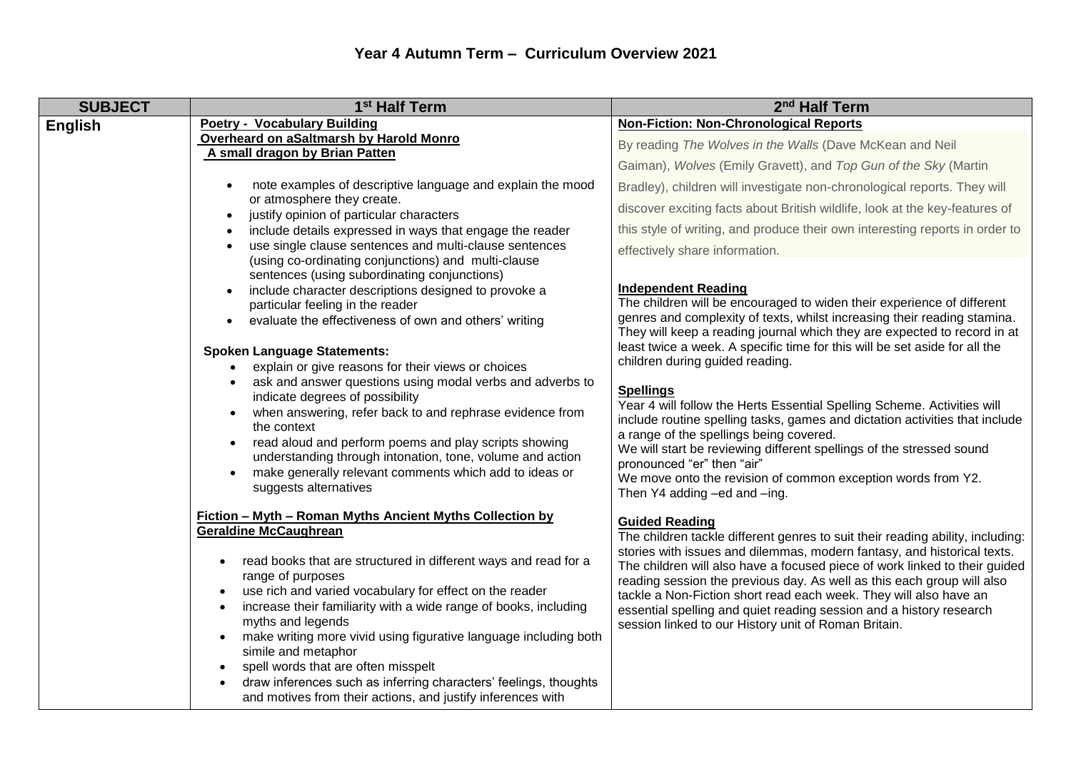| <b>SUBJECT</b> | 1 <sup>st</sup> Half Term                                                                                                       | 2 <sup>nd</sup> Half Term                                                                                                                            |
|----------------|---------------------------------------------------------------------------------------------------------------------------------|------------------------------------------------------------------------------------------------------------------------------------------------------|
| English        | <b>Poetry - Vocabulary Building</b>                                                                                             | <b>Non-Fiction: Non-Chronological Reports</b>                                                                                                        |
|                | Overheard on aSaltmarsh by Harold Monro<br>A small dragon by Brian Patten                                                       | By reading The Wolves in the Walls (Dave McKean and Neil                                                                                             |
|                |                                                                                                                                 | Gaiman), Wolves (Emily Gravett), and Top Gun of the Sky (Martin                                                                                      |
|                | note examples of descriptive language and explain the mood<br>$\bullet$                                                         | Bradley), children will investigate non-chronological reports. They will                                                                             |
|                | or atmosphere they create.                                                                                                      | discover exciting facts about British wildlife, look at the key-features of                                                                          |
|                | justify opinion of particular characters<br>$\bullet$<br>include details expressed in ways that engage the reader               | this style of writing, and produce their own interesting reports in order to                                                                         |
|                | use single clause sentences and multi-clause sentences<br>$\bullet$                                                             |                                                                                                                                                      |
|                | (using co-ordinating conjunctions) and multi-clause                                                                             | effectively share information.                                                                                                                       |
|                | sentences (using subordinating conjunctions)                                                                                    |                                                                                                                                                      |
|                | include character descriptions designed to provoke a                                                                            | <b>Independent Reading</b>                                                                                                                           |
|                | particular feeling in the reader                                                                                                | The children will be encouraged to widen their experience of different                                                                               |
|                | evaluate the effectiveness of own and others' writing<br>$\bullet$                                                              | genres and complexity of texts, whilst increasing their reading stamina.<br>They will keep a reading journal which they are expected to record in at |
|                |                                                                                                                                 | least twice a week. A specific time for this will be set aside for all the                                                                           |
|                | <b>Spoken Language Statements:</b><br>explain or give reasons for their views or choices                                        | children during guided reading.                                                                                                                      |
|                | ask and answer questions using modal verbs and adverbs to                                                                       |                                                                                                                                                      |
|                | indicate degrees of possibility                                                                                                 | <b>Spellings</b>                                                                                                                                     |
|                | when answering, refer back to and rephrase evidence from                                                                        | Year 4 will follow the Herts Essential Spelling Scheme. Activities will                                                                              |
|                | the context                                                                                                                     | include routine spelling tasks, games and dictation activities that include<br>a range of the spellings being covered.                               |
|                | read aloud and perform poems and play scripts showing                                                                           | We will start be reviewing different spellings of the stressed sound                                                                                 |
|                | understanding through intonation, tone, volume and action                                                                       | pronounced "er" then "air"                                                                                                                           |
|                | make generally relevant comments which add to ideas or<br>$\bullet$                                                             | We move onto the revision of common exception words from Y2.                                                                                         |
|                | suggests alternatives                                                                                                           | Then Y4 adding -ed and -ing.                                                                                                                         |
|                | <b>Fiction - Myth - Roman Myths Ancient Myths Collection by</b>                                                                 | <b>Guided Reading</b>                                                                                                                                |
|                | <b>Geraldine McCaughrean</b>                                                                                                    | The children tackle different genres to suit their reading ability, including:                                                                       |
|                | read books that are structured in different ways and read for a                                                                 | stories with issues and dilemmas, modern fantasy, and historical texts.                                                                              |
|                | range of purposes                                                                                                               | The children will also have a focused piece of work linked to their guided                                                                           |
|                | use rich and varied vocabulary for effect on the reader                                                                         | reading session the previous day. As well as this each group will also<br>tackle a Non-Fiction short read each week. They will also have an          |
|                | increase their familiarity with a wide range of books, including                                                                | essential spelling and quiet reading session and a history research                                                                                  |
|                | myths and legends                                                                                                               | session linked to our History unit of Roman Britain.                                                                                                 |
|                | make writing more vivid using figurative language including both                                                                |                                                                                                                                                      |
|                | simile and metaphor                                                                                                             |                                                                                                                                                      |
|                | spell words that are often misspelt                                                                                             |                                                                                                                                                      |
|                | draw inferences such as inferring characters' feelings, thoughts<br>and motives from their actions, and justify inferences with |                                                                                                                                                      |
|                |                                                                                                                                 |                                                                                                                                                      |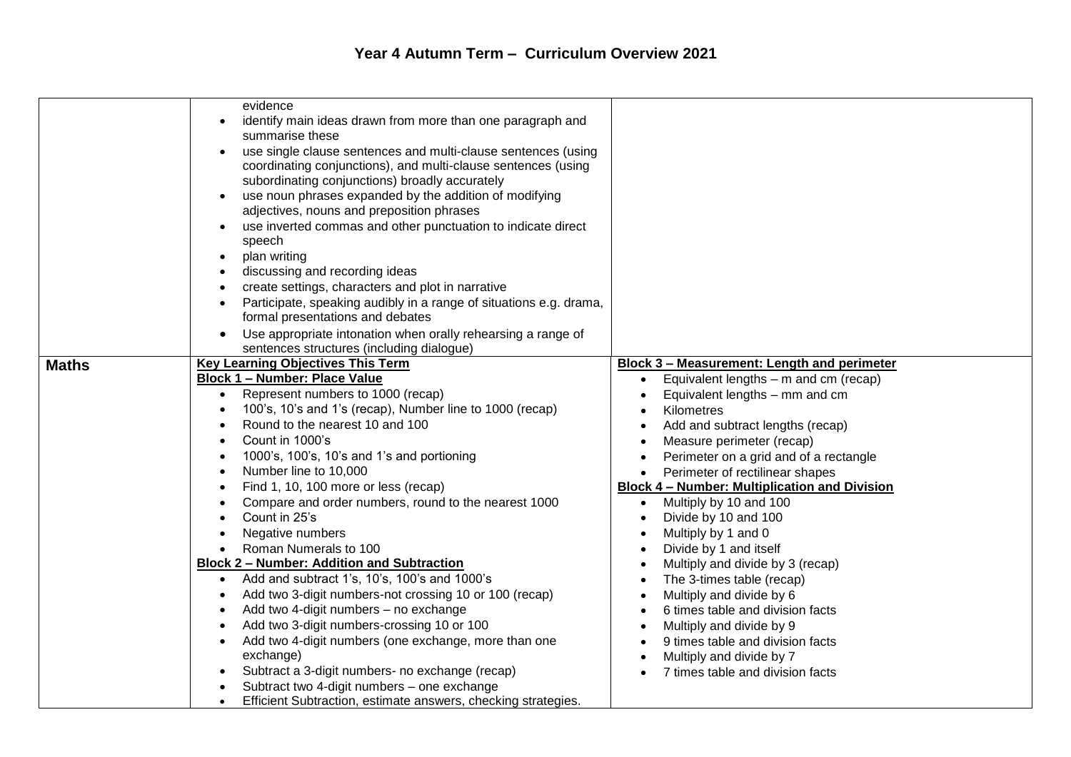|              | evidence<br>identify main ideas drawn from more than one paragraph and<br>summarise these<br>use single clause sentences and multi-clause sentences (using<br>coordinating conjunctions), and multi-clause sentences (using<br>subordinating conjunctions) broadly accurately<br>use noun phrases expanded by the addition of modifying<br>adjectives, nouns and preposition phrases<br>use inverted commas and other punctuation to indicate direct<br>speech<br>plan writing<br>$\bullet$<br>discussing and recording ideas<br>create settings, characters and plot in narrative<br>Participate, speaking audibly in a range of situations e.g. drama,<br>formal presentations and debates<br>Use appropriate intonation when orally rehearsing a range of<br>sentences structures (including dialogue)                                                                                                                                                                  |                                                                                                                                                                                                                                                                                                                                                                                                                                                                                                                                                                                                                                                                                                                                                                                                     |
|--------------|----------------------------------------------------------------------------------------------------------------------------------------------------------------------------------------------------------------------------------------------------------------------------------------------------------------------------------------------------------------------------------------------------------------------------------------------------------------------------------------------------------------------------------------------------------------------------------------------------------------------------------------------------------------------------------------------------------------------------------------------------------------------------------------------------------------------------------------------------------------------------------------------------------------------------------------------------------------------------|-----------------------------------------------------------------------------------------------------------------------------------------------------------------------------------------------------------------------------------------------------------------------------------------------------------------------------------------------------------------------------------------------------------------------------------------------------------------------------------------------------------------------------------------------------------------------------------------------------------------------------------------------------------------------------------------------------------------------------------------------------------------------------------------------------|
|              |                                                                                                                                                                                                                                                                                                                                                                                                                                                                                                                                                                                                                                                                                                                                                                                                                                                                                                                                                                            |                                                                                                                                                                                                                                                                                                                                                                                                                                                                                                                                                                                                                                                                                                                                                                                                     |
| <b>Maths</b> | <b>Key Learning Objectives This Term</b><br><b>Block 1 - Number: Place Value</b><br>Represent numbers to 1000 (recap)<br>100's, 10's and 1's (recap), Number line to 1000 (recap)<br>Round to the nearest 10 and 100<br>Count in 1000's<br>1000's, 100's, 10's and 1's and portioning<br>Number line to 10,000<br>Find 1, 10, 100 more or less (recap)<br>Compare and order numbers, round to the nearest 1000<br>Count in 25's<br>Negative numbers<br>Roman Numerals to 100<br><b>Block 2 - Number: Addition and Subtraction</b><br>Add and subtract 1's, 10's, 100's and 1000's<br>Add two 3-digit numbers-not crossing 10 or 100 (recap)<br>Add two 4-digit numbers - no exchange<br>Add two 3-digit numbers-crossing 10 or 100<br>Add two 4-digit numbers (one exchange, more than one<br>exchange)<br>Subtract a 3-digit numbers- no exchange (recap)<br>Subtract two 4-digit numbers - one exchange<br>Efficient Subtraction, estimate answers, checking strategies. | <b>Block 3 - Measurement: Length and perimeter</b><br>Equivalent lengths – m and cm (recap)<br>$\bullet$<br>Equivalent lengths - mm and cm<br>Kilometres<br>Add and subtract lengths (recap)<br>$\bullet$<br>Measure perimeter (recap)<br>$\bullet$<br>Perimeter on a grid and of a rectangle<br>Perimeter of rectilinear shapes<br><b>Block 4 - Number: Multiplication and Division</b><br>Multiply by 10 and 100<br>$\bullet$<br>Divide by 10 and 100<br>$\bullet$<br>Multiply by 1 and 0<br>Divide by 1 and itself<br>$\bullet$<br>Multiply and divide by 3 (recap)<br>The 3-times table (recap)<br>Multiply and divide by 6<br>6 times table and division facts<br>Multiply and divide by 9<br>9 times table and division facts<br>Multiply and divide by 7<br>7 times table and division facts |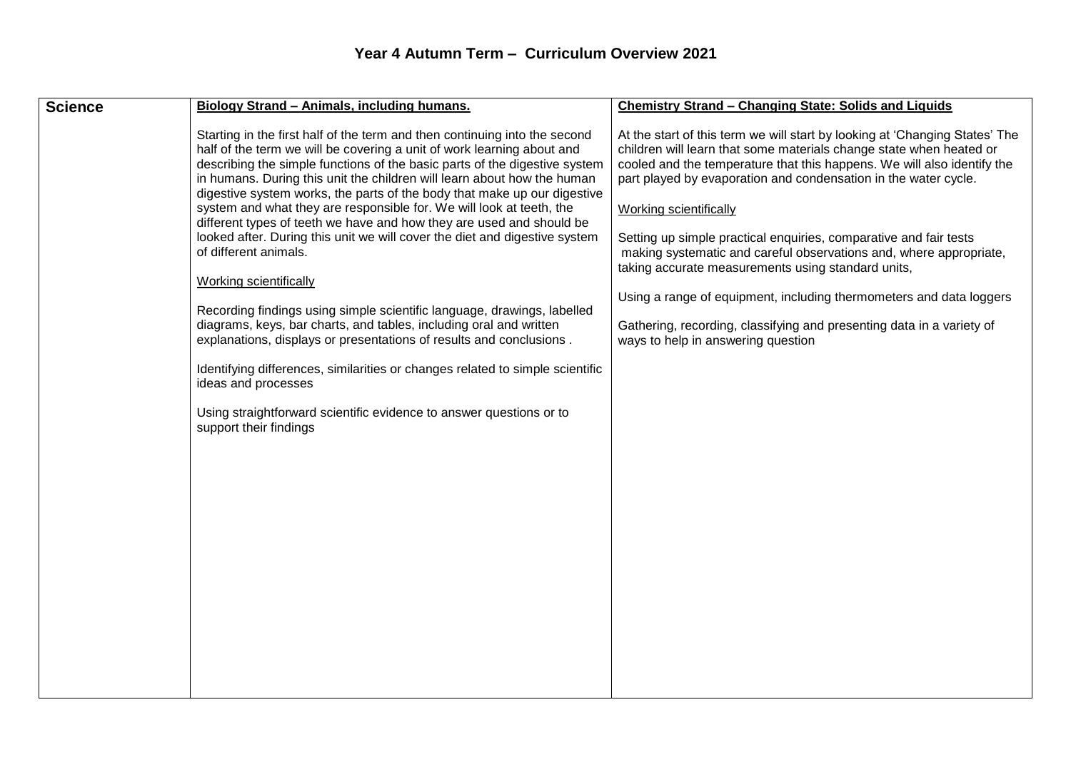| <b>Science</b><br>Biology Strand - Animals, including humans.                                                                                                                                                                                                                                                                                                                                                                                                                                                                                                                                                                                                                                                                                                                                                                                                                                                                                                                                                                                                                                                                                       | Chemistry Strand - Changing State: Solids and Liquids                                                                                                                                                                                                                                                                                                                                                                                                                                                                                                                                                                                                                                   |
|-----------------------------------------------------------------------------------------------------------------------------------------------------------------------------------------------------------------------------------------------------------------------------------------------------------------------------------------------------------------------------------------------------------------------------------------------------------------------------------------------------------------------------------------------------------------------------------------------------------------------------------------------------------------------------------------------------------------------------------------------------------------------------------------------------------------------------------------------------------------------------------------------------------------------------------------------------------------------------------------------------------------------------------------------------------------------------------------------------------------------------------------------------|-----------------------------------------------------------------------------------------------------------------------------------------------------------------------------------------------------------------------------------------------------------------------------------------------------------------------------------------------------------------------------------------------------------------------------------------------------------------------------------------------------------------------------------------------------------------------------------------------------------------------------------------------------------------------------------------|
| Starting in the first half of the term and then continuing into the second<br>half of the term we will be covering a unit of work learning about and<br>describing the simple functions of the basic parts of the digestive system<br>in humans. During this unit the children will learn about how the human<br>digestive system works, the parts of the body that make up our digestive<br>system and what they are responsible for. We will look at teeth, the<br><b>Working scientifically</b><br>different types of teeth we have and how they are used and should be<br>looked after. During this unit we will cover the diet and digestive system<br>of different animals.<br><b>Working scientifically</b><br>Recording findings using simple scientific language, drawings, labelled<br>diagrams, keys, bar charts, and tables, including oral and written<br>explanations, displays or presentations of results and conclusions.<br>Identifying differences, similarities or changes related to simple scientific<br>ideas and processes<br>Using straightforward scientific evidence to answer questions or to<br>support their findings | At the start of this term we will start by looking at 'Changing States' The<br>children will learn that some materials change state when heated or<br>cooled and the temperature that this happens. We will also identify the<br>part played by evaporation and condensation in the water cycle.<br>Setting up simple practical enquiries, comparative and fair tests<br>making systematic and careful observations and, where appropriate,<br>taking accurate measurements using standard units,<br>Using a range of equipment, including thermometers and data loggers<br>Gathering, recording, classifying and presenting data in a variety of<br>ways to help in answering question |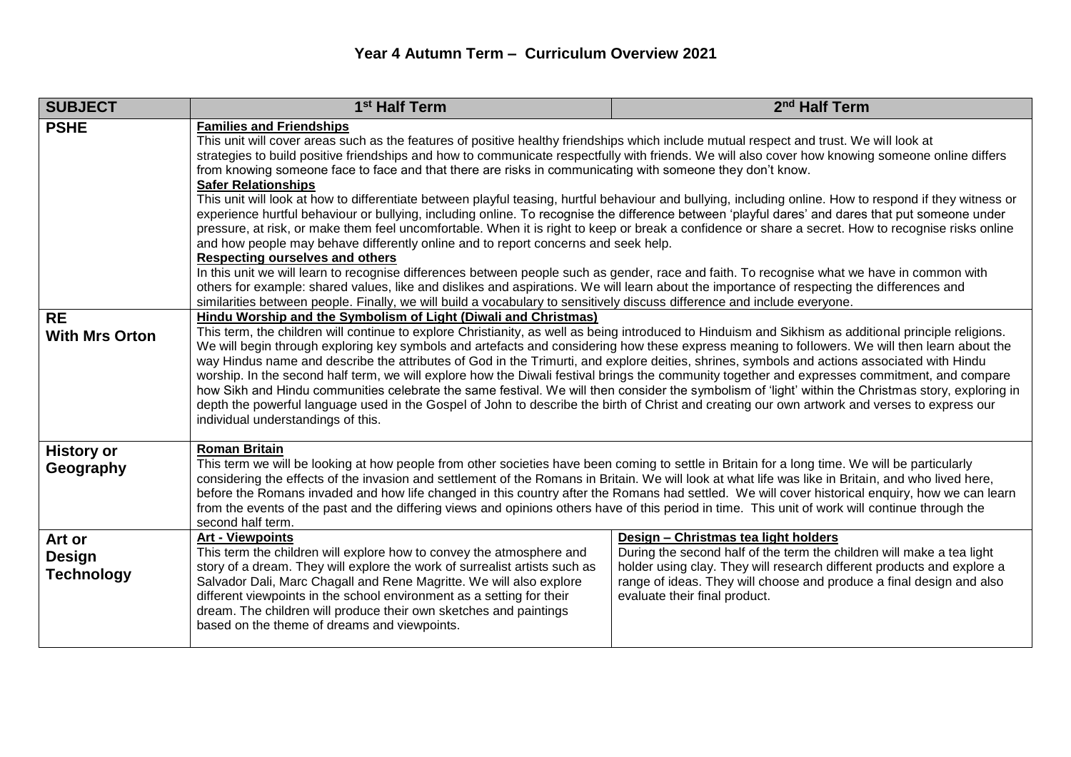## **Year 4 Autumn Term – Curriculum Overview 2021**

| <b>SUBJECT</b>                               | 1 <sup>st</sup> Half Term                                                                                                                                                                                                                                                                                                                                                                                                                                                                                                                                                                                                                                                                                                                                                                                                                                                                                                                                                                                                                                                                                                                                                                                                                                                                                                                                                                                                                                                                                 | 2 <sup>nd</sup> Half Term                                                                                                                                                                                                                                                                        |  |
|----------------------------------------------|-----------------------------------------------------------------------------------------------------------------------------------------------------------------------------------------------------------------------------------------------------------------------------------------------------------------------------------------------------------------------------------------------------------------------------------------------------------------------------------------------------------------------------------------------------------------------------------------------------------------------------------------------------------------------------------------------------------------------------------------------------------------------------------------------------------------------------------------------------------------------------------------------------------------------------------------------------------------------------------------------------------------------------------------------------------------------------------------------------------------------------------------------------------------------------------------------------------------------------------------------------------------------------------------------------------------------------------------------------------------------------------------------------------------------------------------------------------------------------------------------------------|--------------------------------------------------------------------------------------------------------------------------------------------------------------------------------------------------------------------------------------------------------------------------------------------------|--|
| <b>PSHE</b>                                  | <b>Families and Friendships</b><br>This unit will cover areas such as the features of positive healthy friendships which include mutual respect and trust. We will look at<br>strategies to build positive friendships and how to communicate respectfully with friends. We will also cover how knowing someone online differs<br>from knowing someone face to face and that there are risks in communicating with someone they don't know.<br><b>Safer Relationships</b><br>This unit will look at how to differentiate between playful teasing, hurtful behaviour and bullying, including online. How to respond if they witness or<br>experience hurtful behaviour or bullying, including online. To recognise the difference between 'playful dares' and dares that put someone under<br>pressure, at risk, or make them feel uncomfortable. When it is right to keep or break a confidence or share a secret. How to recognise risks online<br>and how people may behave differently online and to report concerns and seek help.<br><b>Respecting ourselves and others</b><br>In this unit we will learn to recognise differences between people such as gender, race and faith. To recognise what we have in common with<br>others for example: shared values, like and dislikes and aspirations. We will learn about the importance of respecting the differences and<br>similarities between people. Finally, we will build a vocabulary to sensitively discuss difference and include everyone. |                                                                                                                                                                                                                                                                                                  |  |
| <b>RE</b><br><b>With Mrs Orton</b>           | Hindu Worship and the Symbolism of Light (Diwali and Christmas)<br>This term, the children will continue to explore Christianity, as well as being introduced to Hinduism and Sikhism as additional principle religions.<br>We will begin through exploring key symbols and artefacts and considering how these express meaning to followers. We will then learn about the<br>way Hindus name and describe the attributes of God in the Trimurti, and explore deities, shrines, symbols and actions associated with Hindu<br>worship. In the second half term, we will explore how the Diwali festival brings the community together and expresses commitment, and compare<br>how Sikh and Hindu communities celebrate the same festival. We will then consider the symbolism of 'light' within the Christmas story, exploring in<br>depth the powerful language used in the Gospel of John to describe the birth of Christ and creating our own artwork and verses to express our<br>individual understandings of this.                                                                                                                                                                                                                                                                                                                                                                                                                                                                                  |                                                                                                                                                                                                                                                                                                  |  |
| <b>History or</b><br>Geography               | <b>Roman Britain</b><br>This term we will be looking at how people from other societies have been coming to settle in Britain for a long time. We will be particularly<br>considering the effects of the invasion and settlement of the Romans in Britain. We will look at what life was like in Britain, and who lived here,<br>before the Romans invaded and how life changed in this country after the Romans had settled. We will cover historical enquiry, how we can learn<br>from the events of the past and the differing views and opinions others have of this period in time. This unit of work will continue through the<br>second half term.                                                                                                                                                                                                                                                                                                                                                                                                                                                                                                                                                                                                                                                                                                                                                                                                                                                 |                                                                                                                                                                                                                                                                                                  |  |
| Art or<br><b>Design</b><br><b>Technology</b> | <b>Art - Viewpoints</b><br>This term the children will explore how to convey the atmosphere and<br>story of a dream. They will explore the work of surrealist artists such as<br>Salvador Dali, Marc Chagall and Rene Magritte. We will also explore<br>different viewpoints in the school environment as a setting for their<br>dream. The children will produce their own sketches and paintings<br>based on the theme of dreams and viewpoints.                                                                                                                                                                                                                                                                                                                                                                                                                                                                                                                                                                                                                                                                                                                                                                                                                                                                                                                                                                                                                                                        | Design - Christmas tea light holders<br>During the second half of the term the children will make a tea light<br>holder using clay. They will research different products and explore a<br>range of ideas. They will choose and produce a final design and also<br>evaluate their final product. |  |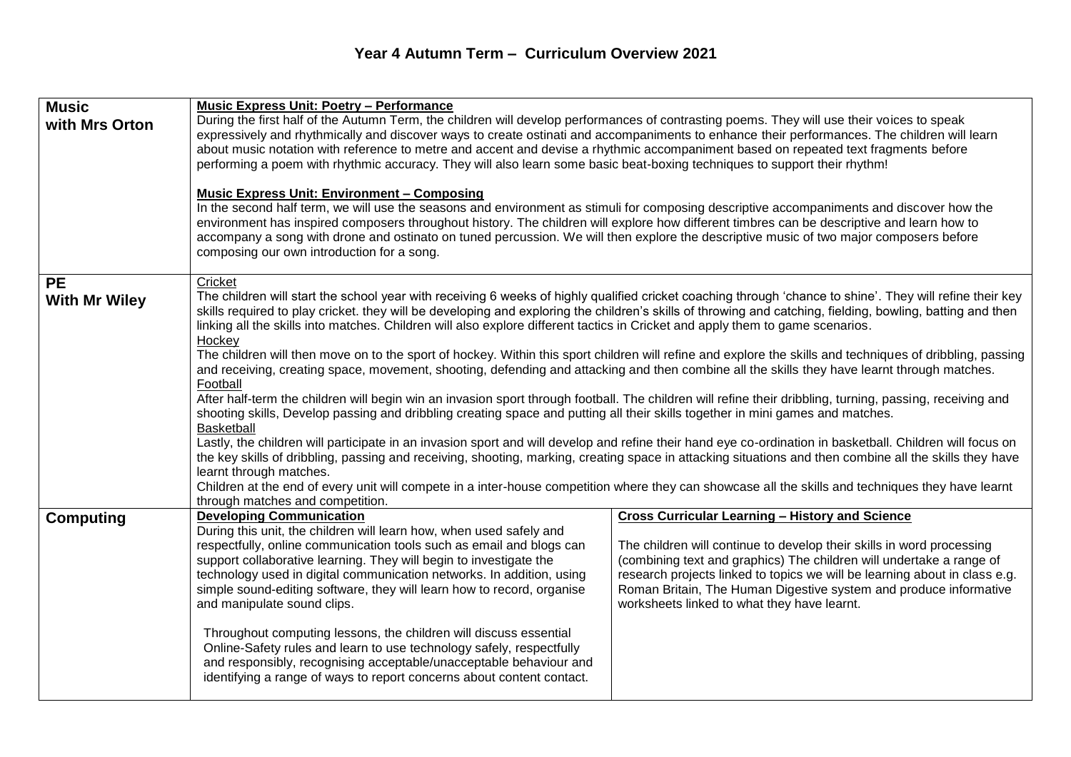## **Year 4 Autumn Term – Curriculum Overview 2021**

| <b>Music</b>                      | <b>Music Express Unit: Poetry - Performance</b>                                                                                                                                                                                                                                                                                                                                                                                                                                                                                                                                                                                                                                                                                                                                                                                                                                                                                                                                                                                                                                                                                                                                                                                                                                                                                                                                                                                                                                                                                                                                                                               |                                                                                                                                                                                                                                                                                                                                                                                                           |  |
|-----------------------------------|-------------------------------------------------------------------------------------------------------------------------------------------------------------------------------------------------------------------------------------------------------------------------------------------------------------------------------------------------------------------------------------------------------------------------------------------------------------------------------------------------------------------------------------------------------------------------------------------------------------------------------------------------------------------------------------------------------------------------------------------------------------------------------------------------------------------------------------------------------------------------------------------------------------------------------------------------------------------------------------------------------------------------------------------------------------------------------------------------------------------------------------------------------------------------------------------------------------------------------------------------------------------------------------------------------------------------------------------------------------------------------------------------------------------------------------------------------------------------------------------------------------------------------------------------------------------------------------------------------------------------------|-----------------------------------------------------------------------------------------------------------------------------------------------------------------------------------------------------------------------------------------------------------------------------------------------------------------------------------------------------------------------------------------------------------|--|
| with Mrs Orton                    | During the first half of the Autumn Term, the children will develop performances of contrasting poems. They will use their voices to speak<br>expressively and rhythmically and discover ways to create ostinati and accompaniments to enhance their performances. The children will learn<br>about music notation with reference to metre and accent and devise a rhythmic accompaniment based on repeated text fragments before<br>performing a poem with rhythmic accuracy. They will also learn some basic beat-boxing techniques to support their rhythm!<br><b>Music Express Unit: Environment - Composing</b><br>In the second half term, we will use the seasons and environment as stimuli for composing descriptive accompaniments and discover how the<br>environment has inspired composers throughout history. The children will explore how different timbres can be descriptive and learn how to<br>accompany a song with drone and ostinato on tuned percussion. We will then explore the descriptive music of two major composers before<br>composing our own introduction for a song.                                                                                                                                                                                                                                                                                                                                                                                                                                                                                                                       |                                                                                                                                                                                                                                                                                                                                                                                                           |  |
|                                   |                                                                                                                                                                                                                                                                                                                                                                                                                                                                                                                                                                                                                                                                                                                                                                                                                                                                                                                                                                                                                                                                                                                                                                                                                                                                                                                                                                                                                                                                                                                                                                                                                               |                                                                                                                                                                                                                                                                                                                                                                                                           |  |
| <b>PE</b><br><b>With Mr Wiley</b> | Cricket<br>The children will start the school year with receiving 6 weeks of highly qualified cricket coaching through 'chance to shine'. They will refine their key<br>skills required to play cricket. they will be developing and exploring the children's skills of throwing and catching, fielding, bowling, batting and then<br>linking all the skills into matches. Children will also explore different tactics in Cricket and apply them to game scenarios.<br>Hockey<br>The children will then move on to the sport of hockey. Within this sport children will refine and explore the skills and techniques of dribbling, passing<br>and receiving, creating space, movement, shooting, defending and attacking and then combine all the skills they have learnt through matches.<br>Football<br>After half-term the children will begin win an invasion sport through football. The children will refine their dribbling, turning, passing, receiving and<br>shooting skills, Develop passing and dribbling creating space and putting all their skills together in mini games and matches.<br>Basketball<br>Lastly, the children will participate in an invasion sport and will develop and refine their hand eye co-ordination in basketball. Children will focus on<br>the key skills of dribbling, passing and receiving, shooting, marking, creating space in attacking situations and then combine all the skills they have<br>learnt through matches.<br>Children at the end of every unit will compete in a inter-house competition where they can showcase all the skills and techniques they have learnt |                                                                                                                                                                                                                                                                                                                                                                                                           |  |
| <b>Computing</b>                  | through matches and competition.<br><b>Developing Communication</b><br>During this unit, the children will learn how, when used safely and<br>respectfully, online communication tools such as email and blogs can<br>support collaborative learning. They will begin to investigate the<br>technology used in digital communication networks. In addition, using<br>simple sound-editing software, they will learn how to record, organise<br>and manipulate sound clips.<br>Throughout computing lessons, the children will discuss essential<br>Online-Safety rules and learn to use technology safely, respectfully<br>and responsibly, recognising acceptable/unacceptable behaviour and<br>identifying a range of ways to report concerns about content contact.                                                                                                                                                                                                                                                                                                                                                                                                                                                                                                                                                                                                                                                                                                                                                                                                                                                        | <b>Cross Curricular Learning - History and Science</b><br>The children will continue to develop their skills in word processing<br>(combining text and graphics) The children will undertake a range of<br>research projects linked to topics we will be learning about in class e.g.<br>Roman Britain, The Human Digestive system and produce informative<br>worksheets linked to what they have learnt. |  |